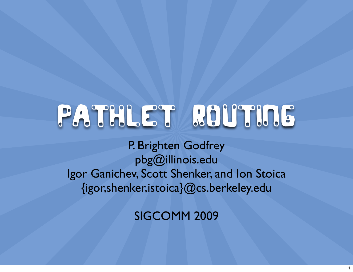## Pathlet Routing

P. Brighten Godfrey [pbg@illinois.edu](mailto:pbg@illinois.edu) Igor Ganichev, Scott Shenker, and Ion Stoica {igor,shenker,istoica}@cs.berkeley.edu

SIGCOMM 2009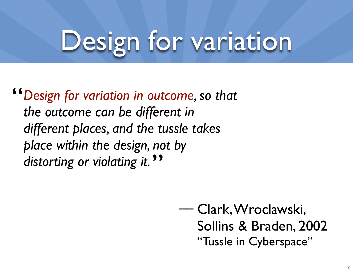## Design for variation

*Design for variation in outcome, so that the outcome can be different in different places, and the tussle takes place within the design, not by distorting or violating it.* " **"** 

> Clark, Wroclawski, Sollins & Braden, 2002 "Tussle in Cyberspace" ––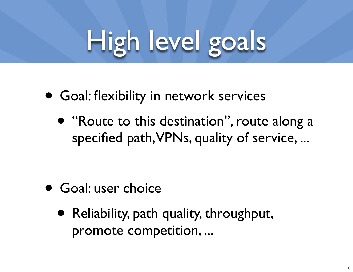# High level goals

- Goal: flexibility in network services
	- "Route to this destination", route along a specified path, VPNs, quality of service, ...

- Goal: user choice
	- Reliability, path quality, throughput, promote competition, ...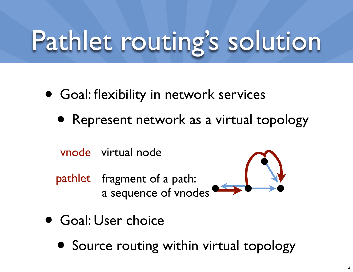## Pathlet routing's solution

- Goal: flexibility in network services
	- Represent network as a virtual topology

vnode virtual node

pathlet fragment of a path: a sequence of vnodes



- Goal: User choice
	- Source routing within virtual topology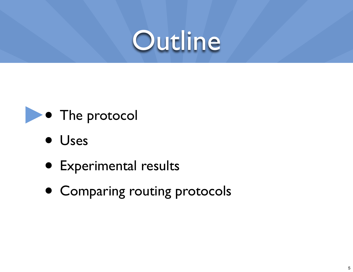



- Uses
- Experimental results
- Comparing routing protocols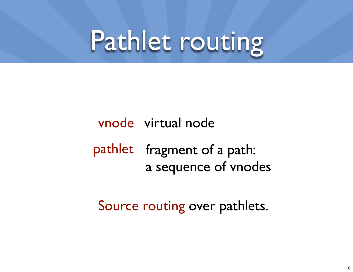### Pathlet routing

#### vnode virtual node pathlet fragment of a path: a sequence of vnodes

#### Source routing over pathlets.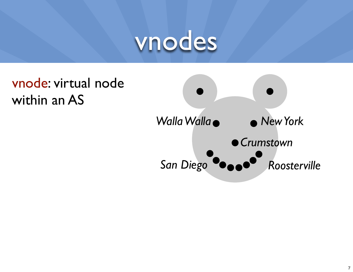

#### vnode: virtual node within an AS

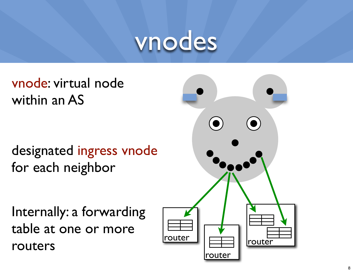#### vnodes

vnode: virtual node within an AS

designated ingress vnode for each neighbor

Internally: a forwarding table at one or more routers

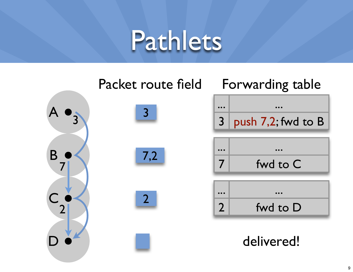#### Pathlets

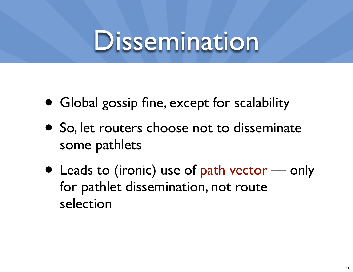#### Dissemination

- Global gossip fine, except for scalability
- So, let routers choose not to disseminate some pathlets
- Leads to (ironic) use of path vector only for pathlet dissemination, not route selection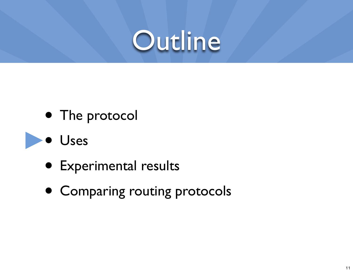

- The protocol
- Uses
	- Experimental results
	- Comparing routing protocols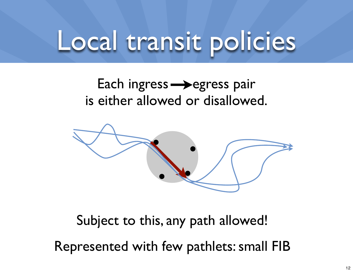#### Local transit policies

#### Each ingress  $\rightarrow$  egress pair is either allowed or disallowed.



Subject to this, any path allowed! Represented with few pathlets: small FIB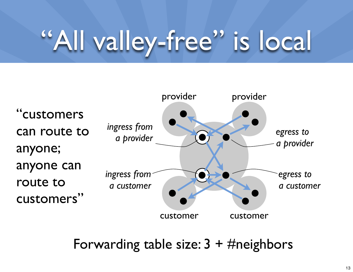## "All valley-free" is local



Forwarding table size:  $3 + \#$ neighbors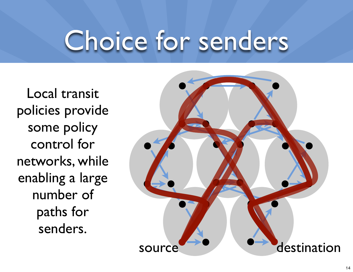### Choice for senders

Local transit policies provide some policy control for networks, while enabling a large number of paths for senders.

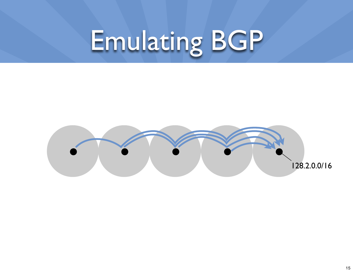# Emulating BGP

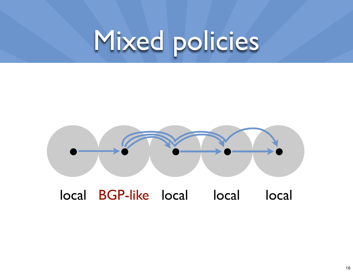## Mixed policies



local BGP-like local local local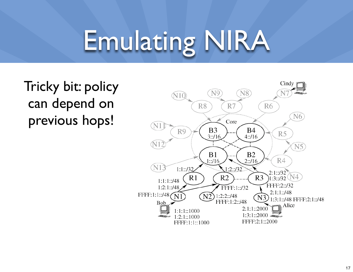## Emulating NIRA



Tricky bit: policy can depend on previous hops!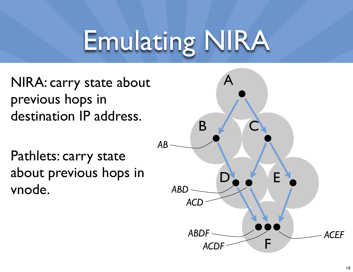## Emulating NIRA

NIRA: carry state about previous hops in destination IP address.

Pathlets: carry state about previous hops in vnode.

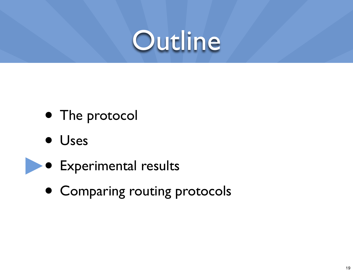

- The protocol
- Uses
- Experimental results
- Comparing routing protocols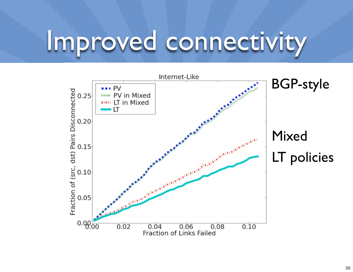#### Improved connectivity

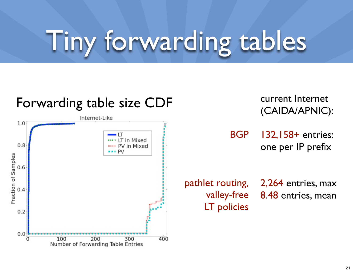## Tiny forwarding tables

#### Forwarding table size CDF



current Internet (CAIDA/APNIC):

BGP 132,158+ entries: one per IP prefix

LT policies

pathlet routing, 2,264 entries, max valley-free 8.48 entries, mean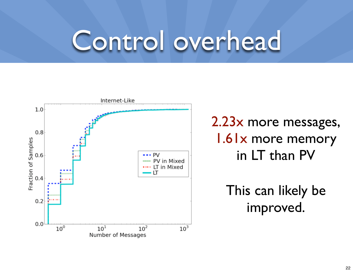### Control overhead



2.23x more messages, 1.61x more memory in LT than PV

> This can likely be improved.